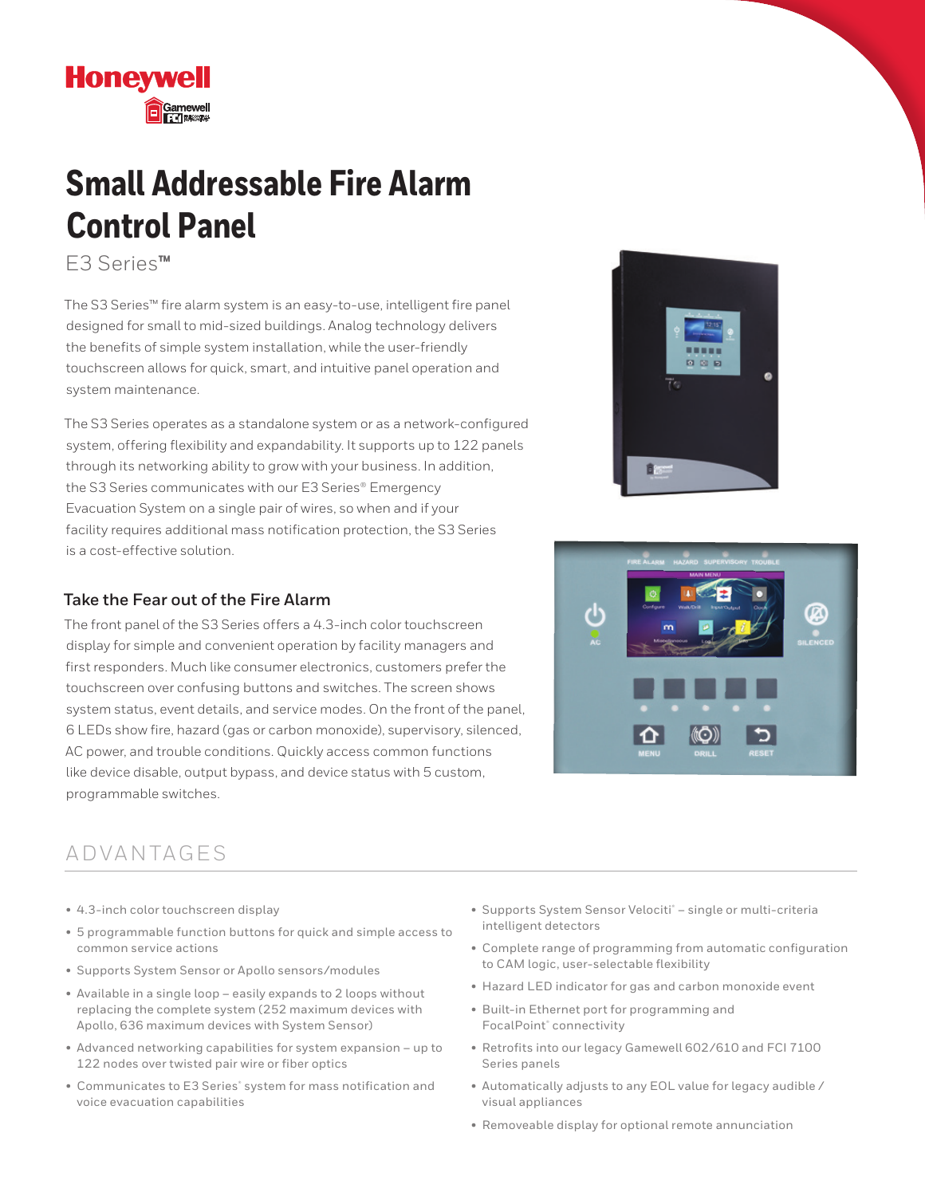## **Small Addressable Fire Alarm Control Panel**

E3 Series**™**

**Honeywell** 

The S3 Series™ fire alarm system is an easy-to-use, intelligent fire panel designed for small to mid-sized buildings. Analog technology delivers the benefits of simple system installation, while the user-friendly touchscreen allows for quick, smart, and intuitive panel operation and system maintenance.

The S3 Series operates as a standalone system or as a network-configured system, offering flexibility and expandability. It supports up to 122 panels through its networking ability to grow with your business. In addition, the S3 Series communicates with our E3 Series® Emergency Evacuation System on a single pair of wires, so when and if your facility requires additional mass notification protection, the S3 Series is a cost-effective solution.

### **Take the Fear out of the Fire Alarm**

The front panel of the S3 Series offers a 4.3-inch color touchscreen display for simple and convenient operation by facility managers and first responders. Much like consumer electronics, customers prefer the touchscreen over confusing buttons and switches. The screen shows system status, event details, and service modes. On the front of the panel, 6 LEDs show fire, hazard (gas or carbon monoxide), supervisory, silenced, AC power, and trouble conditions. Quickly access common functions like device disable, output bypass, and device status with 5 custom, programmable switches.





### A D VA N TA G E S

- 4.3-inch color touchscreen display
- 5 programmable function buttons for quick and simple access to common service actions
- Supports System Sensor or Apollo sensors/modules
- Available in a single loop easily expands to 2 loops without replacing the complete system (252 maximum devices with Apollo, 636 maximum devices with System Sensor)
- Advanced networking capabilities for system expansion up to 122 nodes over twisted pair wire or fiber optics
- Communicates to E3 Series<sup>®</sup> system for mass notification and voice evacuation capabilities
- Supports System Sensor Velociti® single or multi-criteria intelligent detectors
- Complete range of programming from automatic configuration to CAM logic, user-selectable flexibility
- Hazard LED indicator for gas and carbon monoxide event
- Built-in Ethernet port for programming and FocalPoint® connectivity
- Retrofits into our legacy Gamewell 602/610 and FCI 7100 Series panels
- Automatically adjusts to any EOL value for legacy audible / visual appliances
- Removeable display for optional remote annunciation